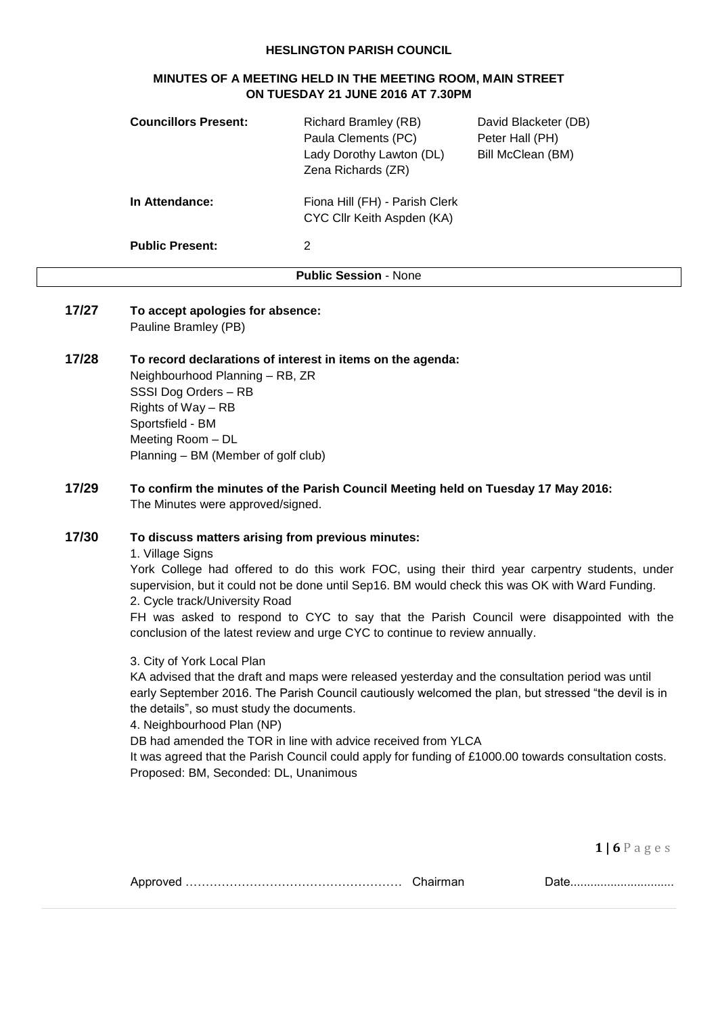#### **HESLINGTON PARISH COUNCIL**

## **MINUTES OF A MEETING HELD IN THE MEETING ROOM, MAIN STREET ON TUESDAY 21 JUNE 2016 AT 7.30PM**

| <b>Councillors Present:</b> | <b>Richard Bramley (RB)</b><br>Paula Clements (PC)<br>Lady Dorothy Lawton (DL)<br>Zena Richards (ZR) | David Blacketer (DB)<br>Peter Hall (PH)<br>Bill McClean (BM) |
|-----------------------------|------------------------------------------------------------------------------------------------------|--------------------------------------------------------------|
| In Attendance:              | Fiona Hill (FH) - Parish Clerk<br>CYC Cllr Keith Aspden (KA)                                         |                                                              |
| <b>Public Present:</b>      | 2                                                                                                    |                                                              |
|                             | <b>Public Session - None</b>                                                                         |                                                              |

**17/27 To accept apologies for absence:** Pauline Bramley (PB)

# **17/28 To record declarations of interest in items on the agenda:**

Neighbourhood Planning – RB, ZR SSSI Dog Orders – RB Rights of Way – RB Sportsfield - BM Meeting Room – DL Planning – BM (Member of golf club)

**17/29 To confirm the minutes of the Parish Council Meeting held on Tuesday 17 May 2016:** The Minutes were approved/signed.

## **17/30 To discuss matters arising from previous minutes:**

1. Village Signs

York College had offered to do this work FOC, using their third year carpentry students, under supervision, but it could not be done until Sep16. BM would check this was OK with Ward Funding. 2. Cycle track/University Road

FH was asked to respond to CYC to say that the Parish Council were disappointed with the conclusion of the latest review and urge CYC to continue to review annually.

3. City of York Local Plan

KA advised that the draft and maps were released yesterday and the consultation period was until early September 2016. The Parish Council cautiously welcomed the plan, but stressed "the devil is in the details", so must study the documents.

4. Neighbourhood Plan (NP)

DB had amended the TOR in line with advice received from YLCA

It was agreed that the Parish Council could apply for funding of £1000.00 towards consultation costs. Proposed: BM, Seconded: DL, Unanimous

|--|--|--|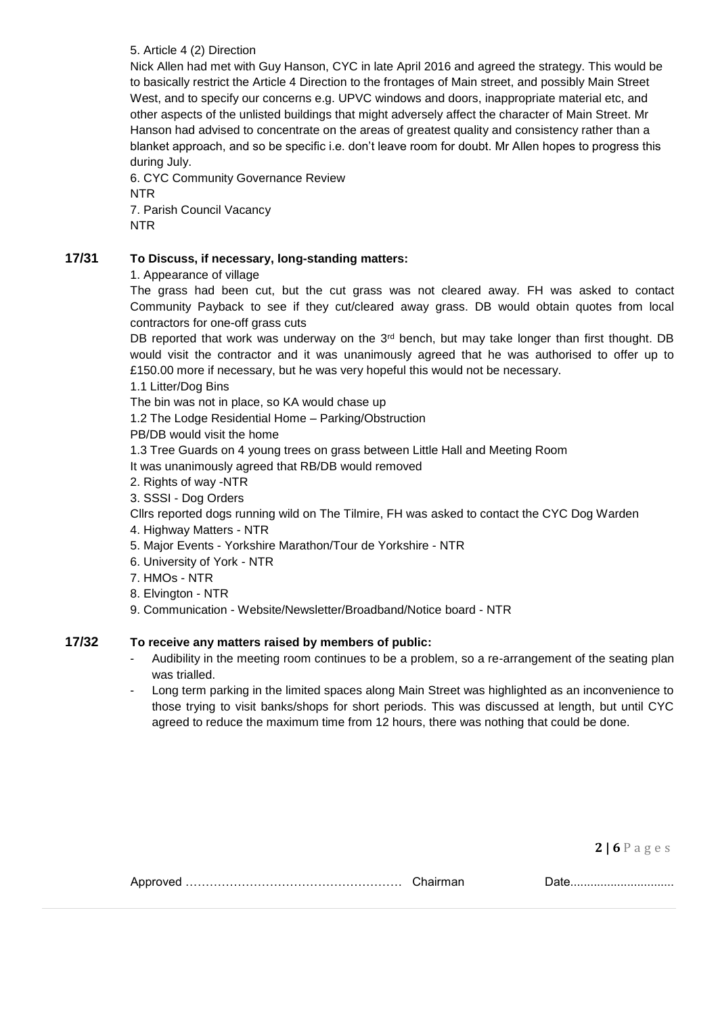## 5. Article 4 (2) Direction

Nick Allen had met with Guy Hanson, CYC in late April 2016 and agreed the strategy. This would be to basically restrict the Article 4 Direction to the frontages of Main street, and possibly Main Street West, and to specify our concerns e.g. UPVC windows and doors, inappropriate material etc, and other aspects of the unlisted buildings that might adversely affect the character of Main Street. Mr Hanson had advised to concentrate on the areas of greatest quality and consistency rather than a blanket approach, and so be specific i.e. don't leave room for doubt. Mr Allen hopes to progress this during July.

6. CYC Community Governance Review NTR 7. Parish Council Vacancy NTR

# **17/31 To Discuss, if necessary, long-standing matters:**

1. Appearance of village

The grass had been cut, but the cut grass was not cleared away. FH was asked to contact Community Payback to see if they cut/cleared away grass. DB would obtain quotes from local contractors for one-off grass cuts

DB reported that work was underway on the 3<sup>rd</sup> bench, but may take longer than first thought. DB would visit the contractor and it was unanimously agreed that he was authorised to offer up to £150.00 more if necessary, but he was very hopeful this would not be necessary.

1.1 Litter/Dog Bins

The bin was not in place, so KA would chase up

1.2 The Lodge Residential Home – Parking/Obstruction

PB/DB would visit the home

1.3 Tree Guards on 4 young trees on grass between Little Hall and Meeting Room

It was unanimously agreed that RB/DB would removed

- 2. Rights of way -NTR
- 3. SSSI Dog Orders

Cllrs reported dogs running wild on The Tilmire, FH was asked to contact the CYC Dog Warden

- 4. Highway Matters NTR
- 5. Major Events Yorkshire Marathon/Tour de Yorkshire NTR
- 6. University of York NTR
- 7. HMOs NTR
- 8. Elvington NTR
- 9. Communication Website/Newsletter/Broadband/Notice board NTR

## **17/32 To receive any matters raised by members of public:**

- Audibility in the meeting room continues to be a problem, so a re-arrangement of the seating plan was trialled.
- Long term parking in the limited spaces along Main Street was highlighted as an inconvenience to those trying to visit banks/shops for short periods. This was discussed at length, but until CYC agreed to reduce the maximum time from 12 hours, there was nothing that could be done.

|--|--|--|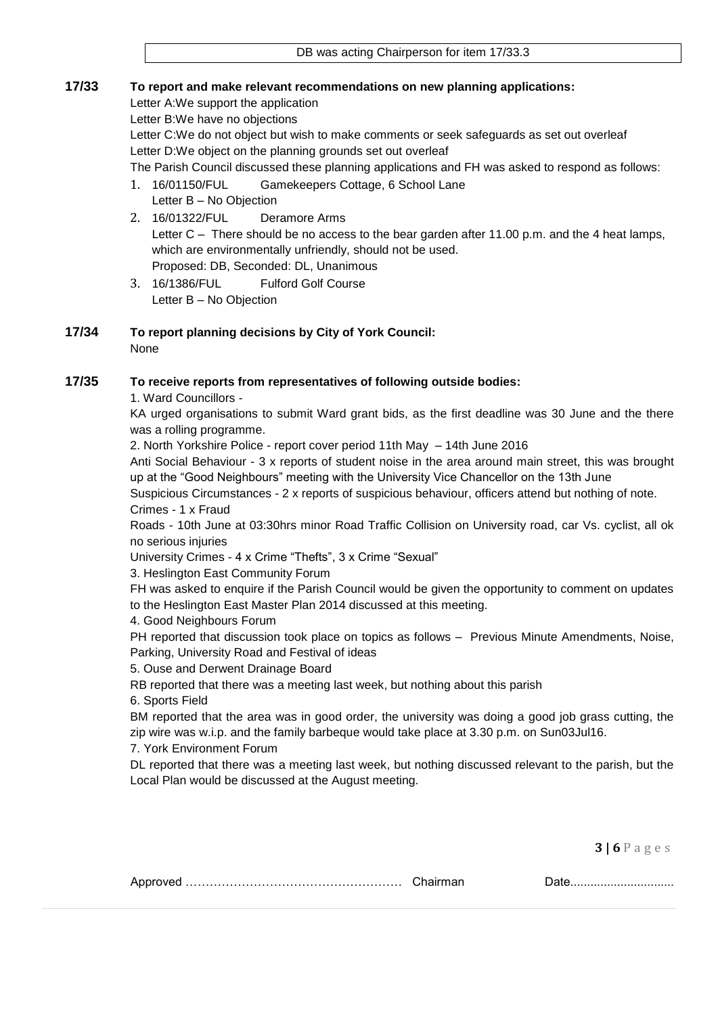# **17/33 To report and make relevant recommendations on new planning applications:**

Letter A:We support the application

Letter B:We have no objections

Letter C:We do not object but wish to make comments or seek safeguards as set out overleaf Letter D:We object on the planning grounds set out overleaf

The Parish Council discussed these planning applications and FH was asked to respond as follows:

- 1. 16/01150/FUL Gamekeepers Cottage, 6 School Lane
	- Letter B No Objection
- 2. 16/01322/FUL Deramore Arms Letter C – There should be no access to the bear garden after 11.00 p.m. and the 4 heat lamps, which are environmentally unfriendly, should not be used. Proposed: DB, Seconded: DL, Unanimous
- 3. 16/1386/FUL Fulford Golf Course Letter B – No Objection

#### **17/34 To report planning decisions by City of York Council:** None

# **17/35 To receive reports from representatives of following outside bodies:**

1. Ward Councillors -

KA urged organisations to submit Ward grant bids, as the first deadline was 30 June and the there was a rolling programme.

2. North Yorkshire Police - report cover period 11th May – 14th June 2016

Anti Social Behaviour - 3 x reports of student noise in the area around main street, this was brought up at the "Good Neighbours" meeting with the University Vice Chancellor on the 13th June

Suspicious Circumstances - 2 x reports of suspicious behaviour, officers attend but nothing of note. Crimes - 1 x Fraud

Roads - 10th June at 03:30hrs minor Road Traffic Collision on University road, car Vs. cyclist, all ok no serious injuries

University Crimes - 4 x Crime "Thefts", 3 x Crime "Sexual"

3. Heslington East Community Forum

FH was asked to enquire if the Parish Council would be given the opportunity to comment on updates to the Heslington East Master Plan 2014 discussed at this meeting.

4. Good Neighbours Forum

PH reported that discussion took place on topics as follows – Previous Minute Amendments, Noise, Parking, University Road and Festival of ideas

5. Ouse and Derwent Drainage Board

RB reported that there was a meeting last week, but nothing about this parish

6. Sports Field

BM reported that the area was in good order, the university was doing a good job grass cutting, the zip wire was w.i.p. and the family barbeque would take place at 3.30 p.m. on Sun03Jul16.

7. York Environment Forum

DL reported that there was a meeting last week, but nothing discussed relevant to the parish, but the Local Plan would be discussed at the August meeting.

|--|--|--|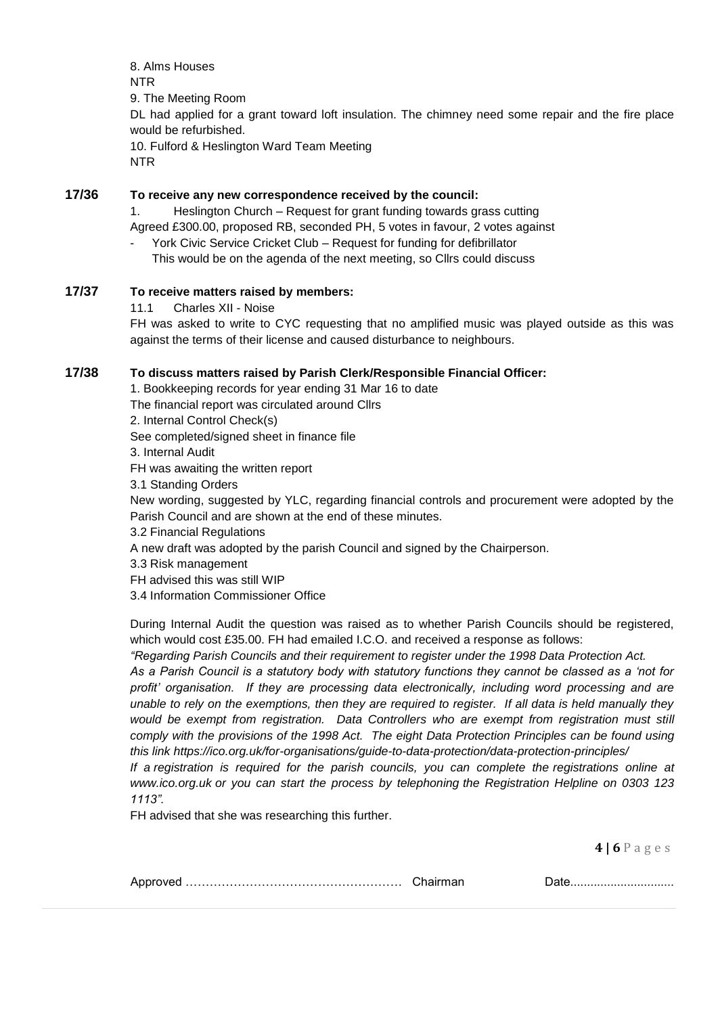8. Alms Houses NTR 9. The Meeting Room DL had applied for a grant toward loft insulation. The chimney need some repair and the fire place would be refurbished. 10. Fulford & Heslington Ward Team Meeting NTR

# **17/36 To receive any new correspondence received by the council:**

1. Heslington Church – Request for grant funding towards grass cutting

Agreed £300.00, proposed RB, seconded PH, 5 votes in favour, 2 votes against

York Civic Service Cricket Club – Request for funding for defibrillator

This would be on the agenda of the next meeting, so Cllrs could discuss

## **17/37 To receive matters raised by members:**

11.1 Charles XII - Noise

FH was asked to write to CYC requesting that no amplified music was played outside as this was against the terms of their license and caused disturbance to neighbours.

### **17/38 To discuss matters raised by Parish Clerk/Responsible Financial Officer:**

1. Bookkeeping records for year ending 31 Mar 16 to date The financial report was circulated around Cllrs 2. Internal Control Check(s) See completed/signed sheet in finance file 3. Internal Audit FH was awaiting the written report 3.1 Standing Orders New wording, suggested by YLC, regarding financial controls and procurement were adopted by the Parish Council and are shown at the end of these minutes. 3.2 Financial Regulations A new draft was adopted by the parish Council and signed by the Chairperson. 3.3 Risk management FH advised this was still WIP

3.4 Information Commissioner Office

During Internal Audit the question was raised as to whether Parish Councils should be registered, which would cost £35.00. FH had emailed I.C.O. and received a response as follows:

*"Regarding Parish Councils and their requirement to register under the 1998 Data Protection Act.*

*As a Parish Council is a statutory body with statutory functions they cannot be classed as a 'not for profit' organisation. If they are processing data electronically, including word processing and are unable to rely on the exemptions, then they are required to register. If all data is held manually they*  would be exempt from registration. Data Controllers who are exempt from registration must still *comply with the provisions of the 1998 Act. The eight Data Protection Principles can be found using this link<https://ico.org.uk/for-organisations/guide-to-data-protection/data-protection-principles/>*

*If a registration is required for the parish councils, you can complete the registrations online at [www.ico.org.uk](http://www.ico.org.uk/) or you can start the process by telephoning the Registration Helpline on 0303 123 1113".*

FH advised that she was researching this further.

|--|--|--|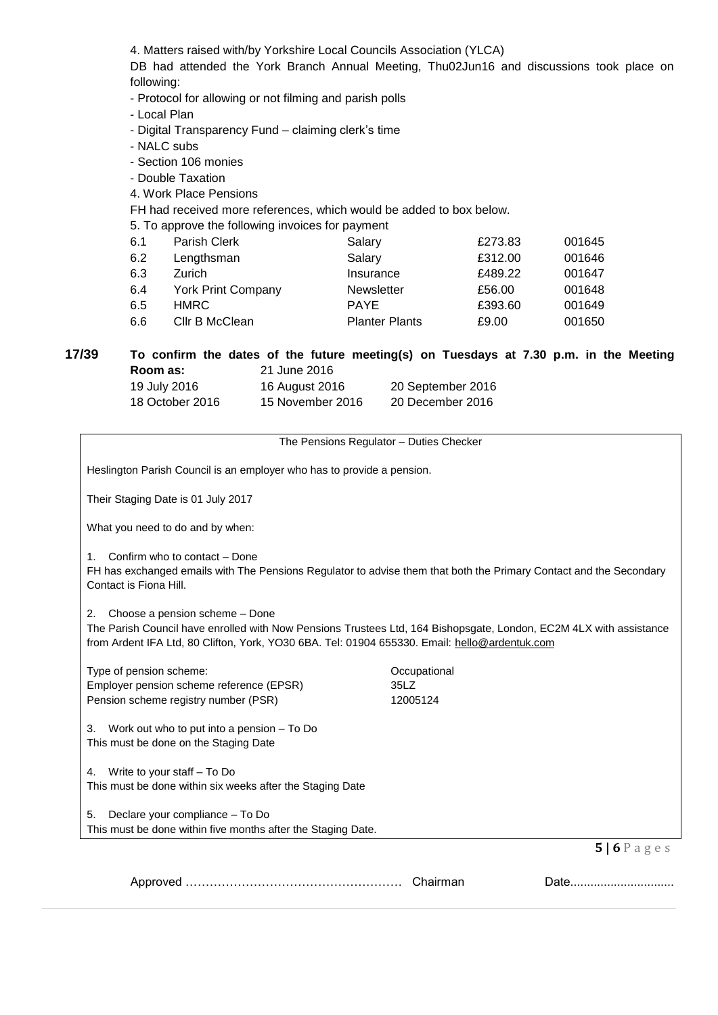4. Matters raised with/by Yorkshire Local Councils Association (YLCA)

DB had attended the York Branch Annual Meeting, Thu02Jun16 and discussions took place on following:

- Protocol for allowing or not filming and parish polls
- Local Plan
- Digital Transparency Fund claiming clerk's time
- NALC subs
- Section 106 monies
- Double Taxation
- 4. Work Place Pensions
- FH had received more references, which would be added to box below.
- 5. To approve the following invoices for payment

| Parish Clerk              | Salary                | £273.83 | 001645 |
|---------------------------|-----------------------|---------|--------|
| Lengthsman                | Salary                | £312.00 | 001646 |
| Zurich                    | Insurance             | £489.22 | 001647 |
| <b>York Print Company</b> | <b>Newsletter</b>     | £56.00  | 001648 |
| <b>HMRC</b>               | <b>PAYE</b>           | £393.60 | 001649 |
| Cllr B McClean            | <b>Planter Plants</b> | £9.00   | 001650 |
|                           |                       |         |        |

# **17/39 To confirm the dates of the future meeting(s) on Tuesdays at 7.30 p.m. in the Meeting Room as:** 21 June 2016

| 19 July 2016    | 16 August 2016   | 20 September 2016 |
|-----------------|------------------|-------------------|
| 18 October 2016 | 15 November 2016 | 20 December 2016  |

The Pensions Regulator – Duties Checker

Heslington Parish Council is an employer who has to provide a pension.

Their Staging Date is 01 July 2017

What you need to do and by when:

1. Confirm who to contact – Done

FH has exchanged emails with The Pensions Regulator to advise them that both the Primary Contact and the Secondary Contact is Fiona Hill.

2. Choose a pension scheme – Done

The Parish Council have enrolled with Now Pensions Trustees Ltd, 164 Bishopsgate, London, EC2M 4LX with assistance from Ardent IFA Ltd, 80 Clifton, York, YO30 6BA. Tel: 01904 655330. Email: [hello@ardentuk.com](mailto:hello@ardentuk.com)

| Type of pension scheme:<br>Employer pension scheme reference (EPSR)<br>Pension scheme registry number (PSR) | Occupational<br>35LZ<br>12005124 |
|-------------------------------------------------------------------------------------------------------------|----------------------------------|
| Work out who to put into a pension – To Do<br>3.<br>This must be done on the Staging Date                   |                                  |
| Write to your staff – To Do<br>4.<br>This must be done within six weeks after the Staging Date              |                                  |
| Declare your compliance - To Do<br>5.<br>This must be done within five months after the Staging Date.       |                                  |
|                                                                                                             |                                  |

Approved ……………………………………………… Chairman Date...............................